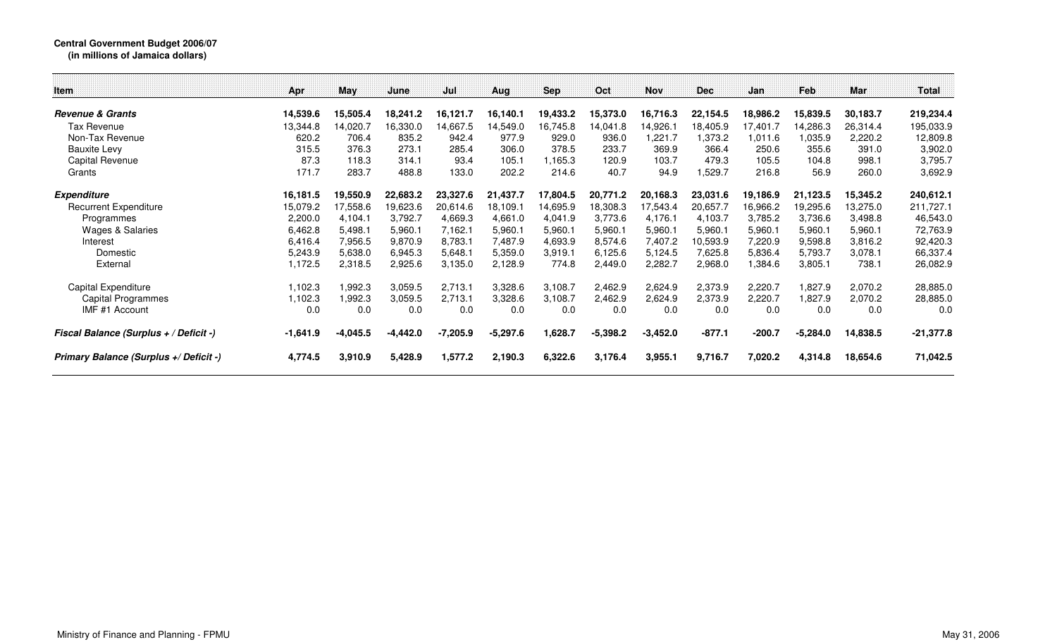## **Central Government Budget 2006/07 (in millions of Jamaica dollars)**

| <b>Item</b>                            | Apr        | May      | June       | Jul        | Aug        | <b>Sep</b> | Oct        | <b>Nov</b> | <b>Dec</b> | Jan      | Feb        | Mar      | Total       |
|----------------------------------------|------------|----------|------------|------------|------------|------------|------------|------------|------------|----------|------------|----------|-------------|
| <b>Revenue &amp; Grants</b>            | 14,539.6   | 15,505.4 | 18,241.2   | 16,121.7   | 16,140.1   | 19,433.2   | 15,373.0   | 16,716.3   | 22,154.5   | 18,986.2 | 15,839.5   | 30.183.7 | 219,234.4   |
| Tax Revenue                            | 13,344.8   | 14,020.7 | 16,330.0   | 14,667.5   | 14,549.0   | 16,745.8   | 14,041.8   | 14,926.1   | 18,405.9   | 7,401.7  | 14,286.3   | 26,314.4 | 195,033.9   |
| Non-Tax Revenue                        | 620.2      | 706.4    | 835.2      | 942.4      | 977.9      | 929.0      | 936.0      | ,221.7     | 1,373.2    | 1,011.6  | 1,035.9    | 2,220.2  | 12,809.8    |
| <b>Bauxite Levy</b>                    | 315.5      | 376.3    | 273.1      | 285.4      | 306.0      | 378.5      | 233.7      | 369.9      | 366.4      | 250.6    | 355.6      | 391.0    | 3,902.0     |
| Capital Revenue                        | 87.3       | 118.3    | 314.1      | 93.4       | 105.1      | 1,165.3    | 120.9      | 103.7      | 479.3      | 105.5    | 104.8      | 998.1    | 3,795.7     |
| Grants                                 | 171.7      | 283.7    | 488.8      | 133.0      | 202.2      | 214.6      | 40.7       | 94.9       | 529.7,ا    | 216.8    | 56.9       | 260.0    | 3,692.9     |
| <b>Expenditure</b>                     | 16,181.5   | 19,550.9 | 22,683.2   | 23,327.6   | 21,437.7   | 17,804.5   | 20,771.2   | 20,168.3   | 23.031.6   | 19,186.9 | 21,123.5   | 15,345.2 | 240,612.1   |
| <b>Recurrent Expenditure</b>           | 15,079.2   | 17,558.6 | 19,623.6   | 20,614.6   | 18,109.1   | 14,695.9   | 18,308.3   | 17,543.4   | 20,657.7   | 6,966.2  | 19,295.6   | 13,275.0 | 211,727.1   |
| Programmes                             | 2,200.0    | 4,104.1  | 3,792.7    | 4,669.3    | 4,661.0    | 4,041.9    | 3,773.6    | 4,176.1    | 4,103.7    | 3,785.2  | 3,736.6    | 3,498.8  | 46,543.0    |
| Wages & Salaries                       | 6,462.8    | 5,498.1  | 5,960.1    | 7,162.1    | 5,960.1    | 5,960.1    | 5,960.1    | 5,960.1    | 5,960.1    | 5,960.1  | 5,960.1    | 5,960.1  | 72,763.9    |
| Interest                               | 6,416.4    | 7,956.5  | 9,870.9    | 8,783.1    | 7,487.9    | 4,693.9    | 8,574.6    | 7,407.2    | 10,593.9   | 7,220.9  | 9,598.8    | 3,816.2  | 92,420.3    |
| Domestic                               | 5,243.9    | 5,638.0  | 6,945.3    | 5,648.1    | 5,359.0    | 3,919.1    | 6,125.6    | 5,124.5    | 7,625.8    | 5,836.4  | 5,793.7    | 3,078.1  | 66,337.4    |
| External                               | 1,172.5    | 2,318.5  | 2,925.6    | 3,135.0    | 2,128.9    | 774.8      | 2,449.0    | 2,282.7    | 2,968.0    | 1,384.6  | 3,805.1    | 738.1    | 26,082.9    |
| Capital Expenditure                    | 1,102.3    | 1,992.3  | 3,059.5    | 2,713.1    | 3,328.6    | 3,108.7    | 2,462.9    | 2,624.9    | 2,373.9    | 2,220.7  | 1,827.9    | 2,070.2  | 28,885.0    |
| <b>Capital Programmes</b>              | 1,102.3    | 1,992.3  | 3,059.5    | 2,713.1    | 3,328.6    | 3,108.7    | 2,462.9    | 2,624.9    | 2,373.9    | 2,220.7  | 1,827.9    | 2,070.2  | 28,885.0    |
| IMF #1 Account                         | 0.0        | 0.0      | 0.0        | 0.0        | 0.0        | 0.0        | 0.0        | 0.0        | 0.0        | 0.0      | 0.0        | 0.0      | 0.0         |
| Fiscal Balance (Surplus + / Deficit -) | $-1,641.9$ | -4,045.5 | $-4,442.0$ | $-7,205.9$ | $-5,297.6$ | 1,628.7    | $-5,398.2$ | $-3,452.0$ | $-877.1$   | $-200.7$ | $-5,284.0$ | 14,838.5 | $-21,377.8$ |
| Primary Balance (Surplus +/ Deficit -) | 4,774.5    | 3,910.9  | 5,428.9    | 1,577.2    | 2,190.3    | 6,322.6    | 3,176.4    | 3,955.1    | 9,716.7    | 7,020.2  | 4,314.8    | 18,654.6 | 71,042.5    |